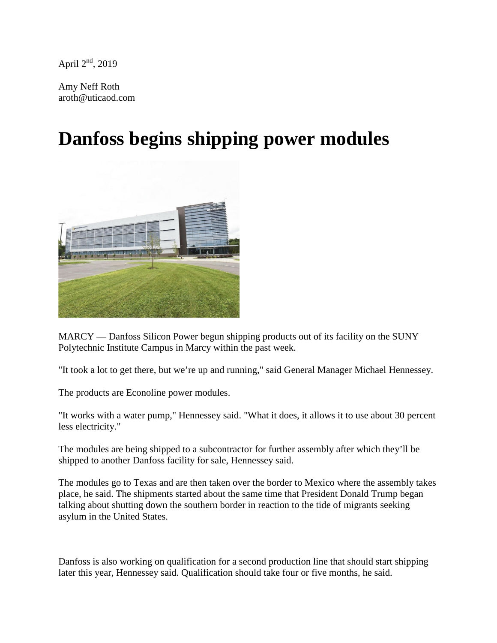April  $2<sup>nd</sup>$ , 2019

Amy Neff Roth aroth@uticaod.com

## **Danfoss begins shipping power modules**



MARCY — Danfoss Silicon Power begun shipping products out of its facility on the SUNY Polytechnic Institute Campus in Marcy within the past week.

"It took a lot to get there, but we're up and running," said General Manager Michael Hennessey.

The products are Econoline power modules.

"It works with a water pump," Hennessey said. "What it does, it allows it to use about 30 percent less electricity."

The modules are being shipped to a subcontractor for further assembly after which they'll be shipped to another Danfoss facility for sale, Hennessey said.

The modules go to Texas and are then taken over the border to Mexico where the assembly takes place, he said. The shipments started about the same time that President Donald Trump began talking about shutting down the southern border in reaction to the tide of migrants seeking asylum in the United States.

Danfoss is also working on qualification for a second production line that should start shipping later this year, Hennessey said. Qualification should take four or five months, he said.